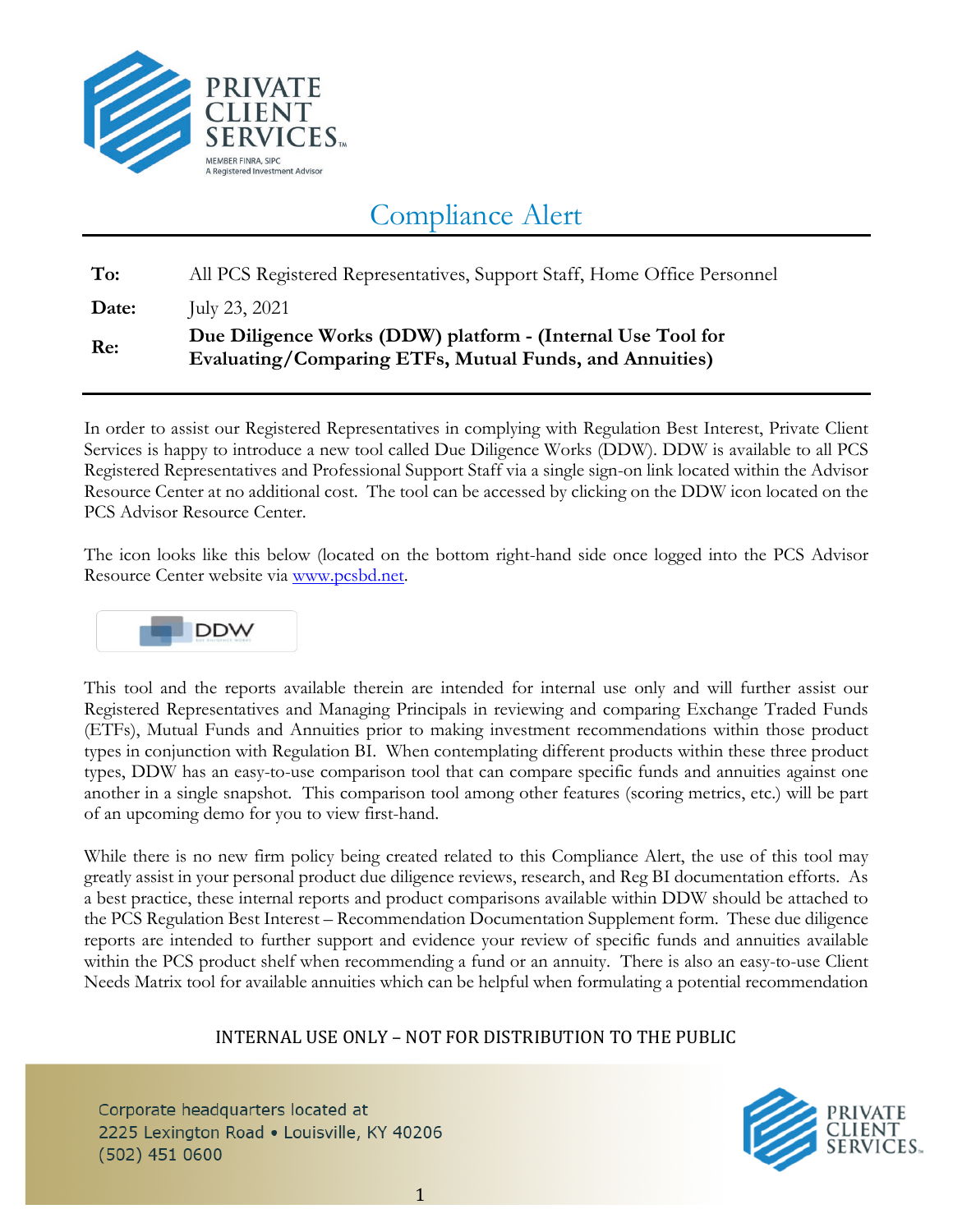

# Compliance Alert

**To:** All PCS Registered Representatives, Support Staff, Home Office Personnel

**Date:** July 23, 2021

## **Re: Due Diligence Works (DDW) platform - (Internal Use Tool for Evaluating/Comparing ETFs, Mutual Funds, and Annuities)**

In order to assist our Registered Representatives in complying with Regulation Best Interest, Private Client Services is happy to introduce a new tool called Due Diligence Works (DDW). DDW is available to all PCS Registered Representatives and Professional Support Staff via a single sign-on link located within the Advisor Resource Center at no additional cost. The tool can be accessed by clicking on the DDW icon located on the PCS Advisor Resource Center.

The icon looks like this below (located on the bottom right-hand side once logged into the PCS Advisor Resource Center website via [www.pcsbd.net.](http://www.pcsbd.net/)



This tool and the reports available therein are intended for internal use only and will further assist our Registered Representatives and Managing Principals in reviewing and comparing Exchange Traded Funds (ETFs), Mutual Funds and Annuities prior to making investment recommendations within those product types in conjunction with Regulation BI. When contemplating different products within these three product types, DDW has an easy-to-use comparison tool that can compare specific funds and annuities against one another in a single snapshot. This comparison tool among other features (scoring metrics, etc.) will be part of an upcoming demo for you to view first-hand.

While there is no new firm policy being created related to this Compliance Alert, the use of this tool may greatly assist in your personal product due diligence reviews, research, and Reg BI documentation efforts. As a best practice, these internal reports and product comparisons available within DDW should be attached to the PCS Regulation Best Interest – Recommendation Documentation Supplement form. These due diligence reports are intended to further support and evidence your review of specific funds and annuities available within the PCS product shelf when recommending a fund or an annuity. There is also an easy-to-use Client Needs Matrix tool for available annuities which can be helpful when formulating a potential recommendation

## INTERNAL USE ONLY – NOT FOR DISTRIBUTION TO THE PUBLIC

Corporate headquarters located at 2225 Lexington Road . Louisville, KY 40206  $(502)$  451 0600